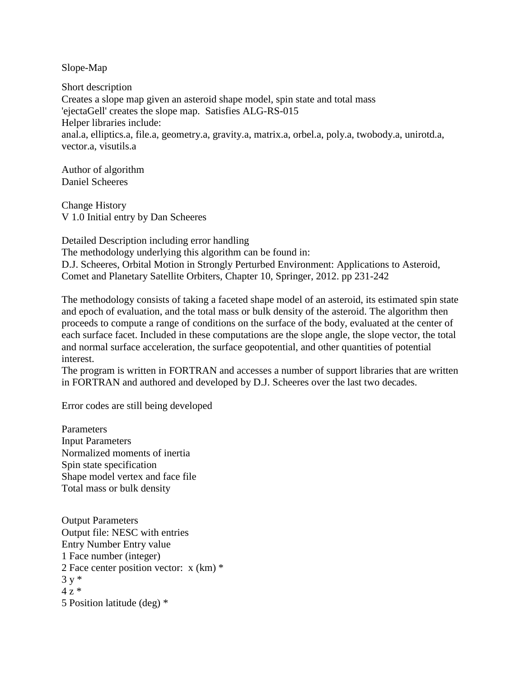Slope-Map

Short description Creates a slope map given an asteroid shape model, spin state and total mass 'ejectaGell' creates the slope map. Satisfies ALG-RS-015 Helper libraries include: anal.a, elliptics.a, file.a, geometry.a, gravity.a, matrix.a, orbel.a, poly.a, twobody.a, unirotd.a, vector.a, visutils.a

Author of algorithm Daniel Scheeres

Change History V 1.0 Initial entry by Dan Scheeres

Detailed Description including error handling The methodology underlying this algorithm can be found in: D.J. Scheeres, Orbital Motion in Strongly Perturbed Environment: Applications to Asteroid, Comet and Planetary Satellite Orbiters, Chapter 10, Springer, 2012. pp 231-242

The methodology consists of taking a faceted shape model of an asteroid, its estimated spin state and epoch of evaluation, and the total mass or bulk density of the asteroid. The algorithm then proceeds to compute a range of conditions on the surface of the body, evaluated at the center of each surface facet. Included in these computations are the slope angle, the slope vector, the total and normal surface acceleration, the surface geopotential, and other quantities of potential interest.

The program is written in FORTRAN and accesses a number of support libraries that are written in FORTRAN and authored and developed by D.J. Scheeres over the last two decades.

Error codes are still being developed

**Parameters** Input Parameters Normalized moments of inertia Spin state specification Shape model vertex and face file Total mass or bulk density

Output Parameters Output file: NESC with entries Entry Number Entry value 1 Face number (integer) 2 Face center position vector: x (km) \*  $3 v *$  $4z*$ 5 Position latitude (deg) \*